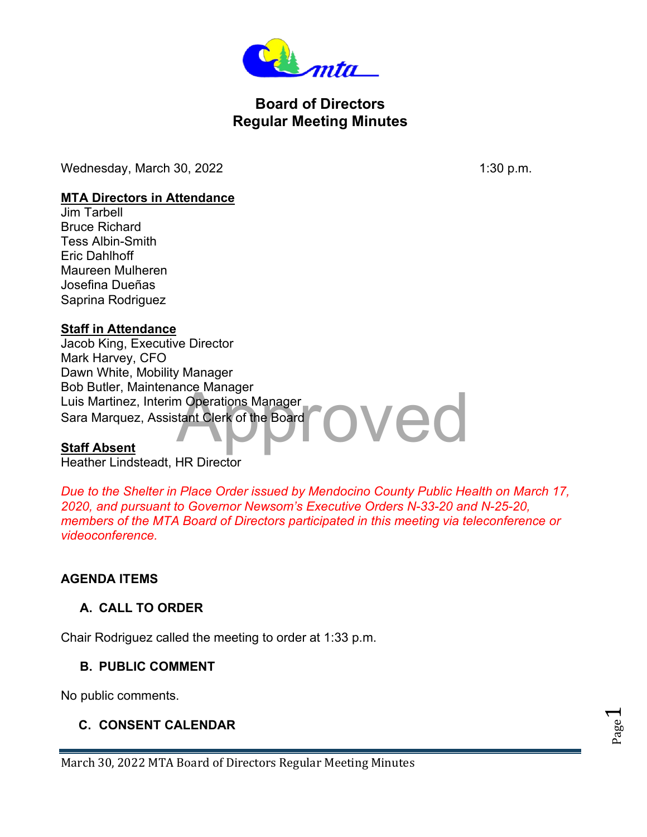

# **Board of Directors Regular Meeting Minutes**

Wednesday, March 30, 2022 1:30 p.m.

Page  $\overline{\phantom{0}}$ 

#### **MTA Directors in Attendance**

Jim Tarbell Bruce Richard Tess Albin-Smith Eric Dahlhoff Maureen Mulheren Josefina Dueñas Saprina Rodriguez

### **Staff in Attendance**

ved Jacob King, Executive Director Mark Harvey, CFO Dawn White, Mobility Manager Bob Butler, Maintenance Manager Luis Martinez, Interim Operations Manager Sara Marquez, Assistant Clerk of the Board

### **Staff Absent**

Heather Lindsteadt, HR Director

*Due to the Shelter in Place Order issued by Mendocino County Public Health on March 17, 2020, and pursuant to Governor Newsom's Executive Orders N-33-20 and N-25-20, members of the MTA Board of Directors participated in this meeting via teleconference or videoconference.*

### **AGENDA ITEMS**

### **A. CALL TO ORDER**

Chair Rodriguez called the meeting to order at 1:33 p.m.

### **B. PUBLIC COMMENT**

No public comments.

## **C. CONSENT CALENDAR**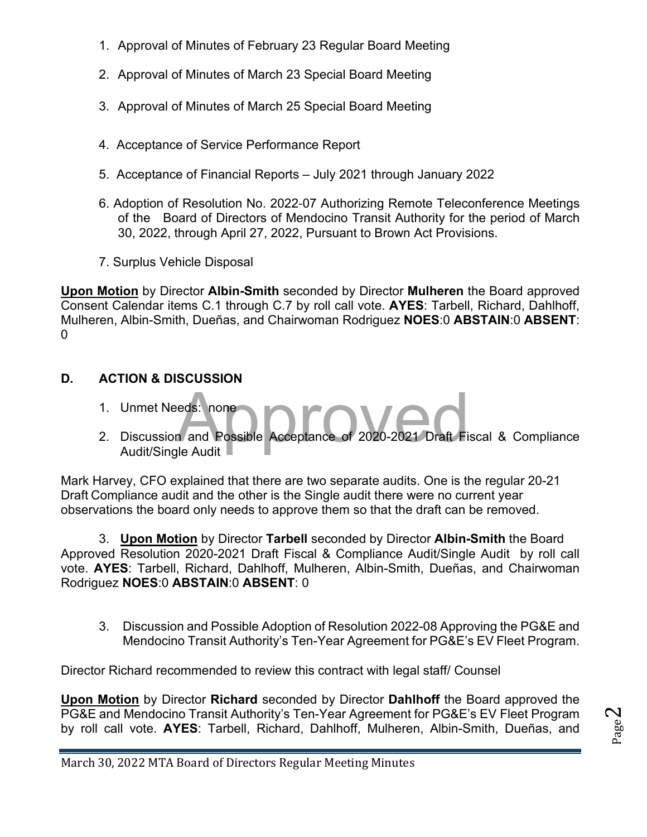- 1. Approval of Minutes of February 23 Regular Board Meeting
- 2. Approval of Minutes of March 23 Special Board Meeting
- 3. Approval of Minutes of March 25 Special Board Meeting
- 4. Acceptance of Service Performance Report
- 5. Acceptance of Financial Reports July 2021 through January 2022
- 6. Adoption of Resolution No. 2022‐07 Authorizing Remote Teleconference Meetings of the Board of Directors of Mendocino Transit Authority for the period of March 30, 2022, through April 27, 2022, Pursuant to Brown Act Provisions.
- 7. Surplus Vehicle Disposal

**Upon Motion** by Director **Albin-Smith** seconded by Director **Mulheren** the Board approved Consent Calendar items C.1 through C.7 by roll call vote. **AYES**: Tarbell, Richard, Dahlhoff, Mulheren, Albin-Smith, Dueñas, and Chairwoman Rodriguez **NOES**:0 **ABSTAIN**:0 **ABSENT**:  $\Omega$ 

## **D. ACTION & DISCUSSION**

- 1. Unmet Needs: none
- eds: none<br> **Approved Acceptance of 2020-2021 Draft Fi** 2. Discussion and Possible Acceptance of 2020-2021 Draft Fiscal & Compliance Audit/Single Audit

Mark Harvey, CFO explained that there are two separate audits. One is the regular 20-21 Draft Compliance audit and the other is the Single audit there were no current year observations the board only needs to approve them so that the draft can be removed.

3. **Upon Motion** by Director **Tarbell** seconded by Director **Albin-Smith** the Board Approved Resolution 2020-2021 Draft Fiscal & Compliance Audit/Single Audit by roll call vote. **AYES**: Tarbell, Richard, Dahlhoff, Mulheren, Albin-Smith, Dueñas, and Chairwoman Rodriguez **NOES**:0 **ABSTAIN**:0 **ABSENT**: 0

3. Discussion and Possible Adoption of Resolution 2022-08 Approving the PG&E and Mendocino Transit Authority's Ten-Year Agreement for PG&E's EV Fleet Program.

Director Richard recommended to review this contract with legal staff/ Counsel

**Upon Motion** by Director **Richard** seconded by Director **Dahlhoff** the Board approved the PG&E and Mendocino Transit Authority's Ten-Year Agreement for PG&E's EV Fleet Program by roll call vote. **AYES**: Tarbell, Richard, Dahlhoff, Mulheren, Albin-Smith, Dueñas, and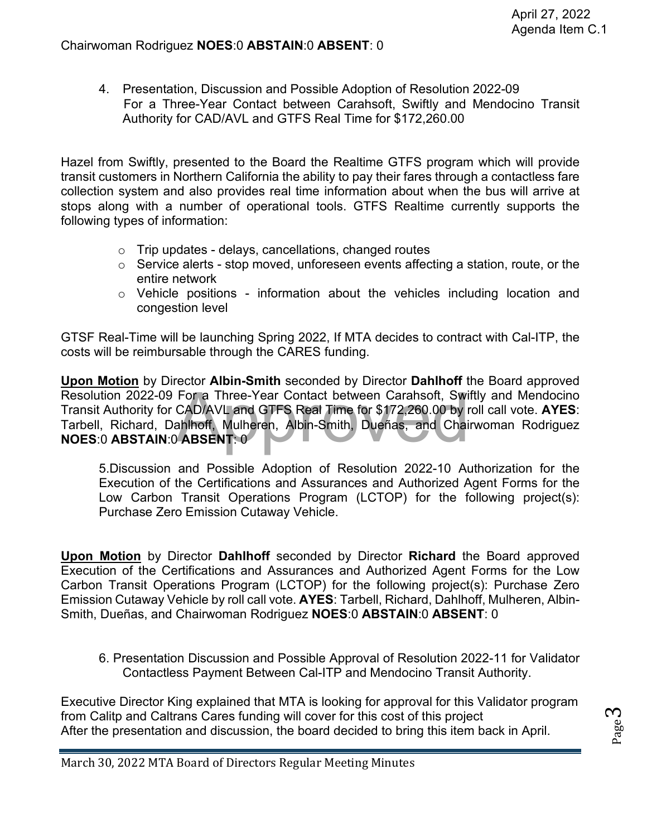4. Presentation, Discussion and Possible Adoption of Resolution 2022-09 For a Three-Year Contact between Carahsoft, Swiftly and Mendocino Transit Authority for CAD/AVL and GTFS Real Time for \$172,260.00

Hazel from Swiftly, presented to the Board the Realtime GTFS program which will provide transit customers in Northern California the ability to pay their fares through a contactless fare collection system and also provides real time information about when the bus will arrive at stops along with a number of operational tools. GTFS Realtime currently supports the following types of information:

- $\circ$  Trip updates delays, cancellations, changed routes
- $\circ$  Service alerts stop moved, unforeseen events affecting a station, route, or the entire network
- $\circ$  Vehicle positions information about the vehicles including location and congestion level

GTSF Real-Time will be launching Spring 2022, If MTA decides to contract with Cal-ITP, the costs will be reimbursable through the CARES funding.

For a Three-Year Contact between Carahsoft, Swi<br>CAD/AVL and GTFS Real Time for \$172,260.00 by r<br>ahlhoff, Mulheren, Albin-Smith, Dueñas, and Chai<br>ABSENT: 0 **Upon Motion** by Director **Albin-Smith** seconded by Director **Dahlhoff** the Board approved Resolution 2022-09 For a Three-Year Contact between Carahsoft, Swiftly and Mendocino Transit Authority for CAD/AVL and GTFS Real Time for \$172,260.00 by roll call vote. **AYES**: Tarbell, Richard, Dahlhoff, Mulheren, Albin-Smith, Dueñas, and Chairwoman Rodriguez **NOES**:0 **ABSTAIN**:0 **ABSENT**: 0

5.Discussion and Possible Adoption of Resolution 2022-10 Authorization for the Execution of the Certifications and Assurances and Authorized Agent Forms for the Low Carbon Transit Operations Program (LCTOP) for the following project(s): Purchase Zero Emission Cutaway Vehicle.

**Upon Motion** by Director **Dahlhoff** seconded by Director **Richard** the Board approved Execution of the Certifications and Assurances and Authorized Agent Forms for the Low Carbon Transit Operations Program (LCTOP) for the following project(s): Purchase Zero Emission Cutaway Vehicle by roll call vote. **AYES**: Tarbell, Richard, Dahlhoff, Mulheren, Albin-Smith, Dueñas, and Chairwoman Rodriguez **NOES**:0 **ABSTAIN**:0 **ABSENT**: 0

6. Presentation Discussion and Possible Approval of Resolution 2022-11 for Validator Contactless Payment Between Cal-ITP and Mendocino Transit Authority.

Executive Director King explained that MTA is looking for approval for this Validator program from Calitp and Caltrans Cares funding will cover for this cost of this project After the presentation and discussion, the board decided to bring this item back in April.

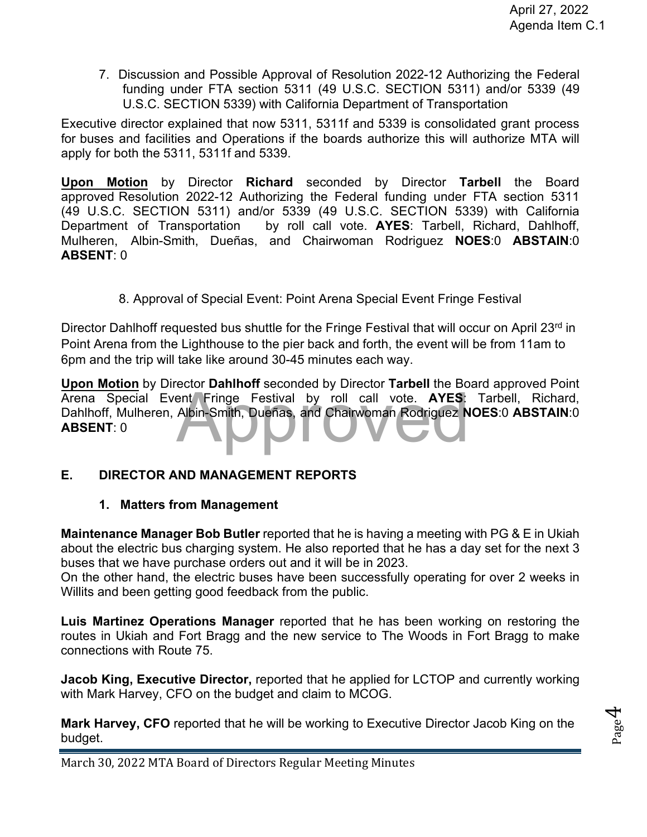7. Discussion and Possible Approval of Resolution 2022-12 Authorizing the Federal funding under FTA section 5311 (49 U.S.C. SECTION 5311) and/or 5339 (49 U.S.C. SECTION 5339) with California Department of Transportation

Executive director explained that now 5311, 5311f and 5339 is consolidated grant process for buses and facilities and Operations if the boards authorize this will authorize MTA will apply for both the 5311, 5311f and 5339.

**Upon Motion** by Director **Richard** seconded by Director **Tarbell** the Board approved Resolution 2022-12 Authorizing the Federal funding under FTA section 5311 (49 U.S.C. SECTION 5311) and/or 5339 (49 U.S.C. SECTION 5339) with California Department of Transportation by roll call vote. **AYES**: Tarbell, Richard, Dahlhoff, Mulheren, Albin-Smith, Dueñas, and Chairwoman Rodriguez **NOES**:0 **ABSTAIN**:0 **ABSENT**: 0

8. Approval of Special Event: Point Arena Special Event Fringe Festival

Director Dahlhoff requested bus shuttle for the Fringe Festival that will occur on April 23<sup>rd</sup> in Point Arena from the Lighthouse to the pier back and forth, the event will be from 11am to 6pm and the trip will take like around 30-45 minutes each way.

ent Fringe Festival by roll call vote. AYES:<br>Albin-Smith, Dueñas, and Chairwoman Rodriguez N **Upon Motion** by Director **Dahlhoff** seconded by Director **Tarbell** the Board approved Point Arena Special Event Fringe Festival by roll call vote. **AYES**: Tarbell, Richard, Dahlhoff, Mulheren, Albin-Smith, Dueñas, and Chairwoman Rodriguez **NOES**:0 **ABSTAIN**:0 **ABSENT**: 0

### **E. DIRECTOR AND MANAGEMENT REPORTS**

### **1. Matters from Management**

**Maintenance Manager Bob Butler** reported that he is having a meeting with PG & E in Ukiah about the electric bus charging system. He also reported that he has a day set for the next 3 buses that we have purchase orders out and it will be in 2023.

On the other hand, the electric buses have been successfully operating for over 2 weeks in Willits and been getting good feedback from the public.

**Luis Martinez Operations Manager** reported that he has been working on restoring the routes in Ukiah and Fort Bragg and the new service to The Woods in Fort Bragg to make connections with Route 75.

**Jacob King, Executive Director,** reported that he applied for LCTOP and currently working with Mark Harvey, CFO on the budget and claim to MCOG.

**Mark Harvey, CFO** reported that he will be working to Executive Director Jacob King on the budget.



March 30, 2022 MTA Board of Directors Regular Meeting Minutes